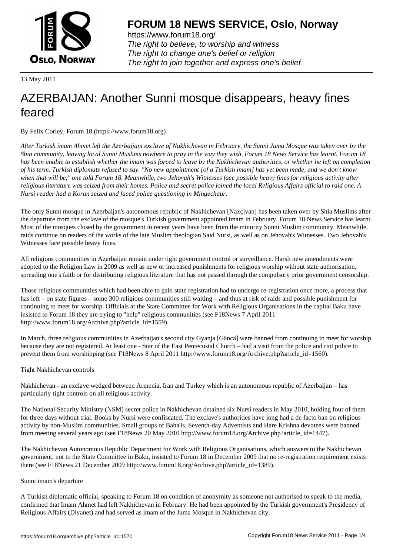

https://www.forum18.org/ The right to believe, to worship and witness The right to change one's belief or religion [The right to join together a](https://www.forum18.org/)nd express one's belief

13 May 2011

# [AZERBAIJAN: A](https://www.forum18.org)nother Sunni mosque disappears, heavy fines feared

By Felix Corley, Forum 18 (https://www.forum18.org)

*After Turkish imam Ahmet left the Azerbaijani exclave of Nakhichevan in February, the Sunni Juma Mosque was taken over by the Shia community, leaving local Sunni Muslims nowhere to pray in the way they wish, Forum 18 News Service has learnt. Forum 18 has been unable to establish whether the imam was forced to leave by the Nakhichevan authorities, or whether he left on completion of his term. Turkish diplomats refused to say. "No new appointment [of a Turkish imam] has yet been made, and we don't know when that will be," one told Forum 18. Meanwhile, two Jehovah's Witnesses face possible heavy fines for religious activity after religious literature was seized from their homes. Police and secret police joined the local Religious Affairs official to raid one. A Nursi reader had a Koran seized and faced police questioning in Mingechaur.*

The only Sunni mosque in Azerbaijan's autonomous republic of Nakhichevan [Naxçivan] has been taken over by Shia Muslims after the departure from the exclave of the mosque's Turkish government appointed imam in February, Forum 18 News Service has learnt. Most of the mosques closed by the government in recent years have been from the minority Sunni Muslim community. Meanwhile, raids continue on readers of the works of the late Muslim theologian Said Nursi, as well as on Jehovah's Witnesses. Two Jehovah's Witnesses face possible heavy fines.

All religious communities in Azerbaijan remain under tight government control or surveillance. Harsh new amendments were adopted to the Religion Law in 2009 as well as new or increased punishments for religious worship without state authorisation, spreading one's faith or for distributing religious literature that has not passed through the compulsory prior government censorship.

Those religious communities which had been able to gain state registration had to undergo re-registration once more, a process that has left – on state figures – some 300 religious communities still waiting – and thus at risk of raids and possible punishment for continuing to meet for worship. Officials at the State Committee for Work with Religious Organisations in the capital Baku have insisted to Forum 18 they are trying to "help" religious communities (see F18News 7 April 2011 http://www.forum18.org/Archive.php?article\_id=1559).

In March, three religious communities in Azerbaijan's second city Gyanja [Gäncä] were banned from continuing to meet for worship because they are not registered. At least one - Star of the East Pentecostal Church – had a visit from the police and riot police to prevent them from worshipping (see F18News 8 April 2011 http://www.forum18.org/Archive.php?article\_id=1560).

## Tight Nakhichevan controls

Nakhichevan - an exclave wedged between Armenia, Iran and Turkey which is an autonomous republic of Azerbaijan – has particularly tight controls on all religious activity.

The National Security Ministry (NSM) secret police in Nakhichevan detained six Nursi readers in May 2010, holding four of them for three days without trial. Books by Nursi were confiscated. The exclave's authorities have long had a de facto ban on religious activity by non-Muslim communities. Small groups of Baha'is, Seventh-day Adventists and Hare Krishna devotees were banned from meeting several years ago (see F18News 20 May 2010 http://www.forum18.org/Archive.php?article\_id=1447).

The Nakhichevan Autonomous Republic Department for Work with Religious Organisations, which answers to the Nakhichevan government, not to the State Committee in Baku, insisted to Forum 18 in December 2009 that no re-registration requirement exists there (see F18News 21 December 2009 http://www.forum18.org/Archive.php?article\_id=1389).

### Sunni imam's departure

A Turkish diplomatic official, speaking to Forum 18 on condition of anonymity as someone not authorised to speak to the media, confirmed that Imam Ahmet had left Nakhichevan in February. He had been appointed by the Turkish government's Presidency of Religious Affairs (Diyanet) and had served as imam of the Juma Mosque in Nakhichevan city.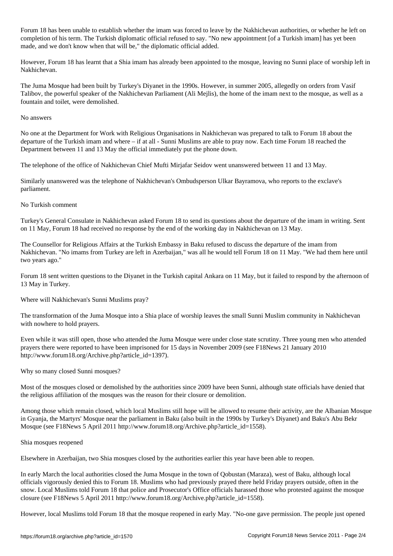For the imam was forum the imam was forced to leave by the Nakhichevan authorities, or whether he left on  $\ell$ completion of his term. The Turkish diplomatic official refused to say. "No new appointment [of a Turkish imam] has yet been made, and we don't know when that will be," the diplomatic official added.

However, Forum 18 has learnt that a Shia imam has already been appointed to the mosque, leaving no Sunni place of worship left in Nakhichevan.

The Juma Mosque had been built by Turkey's Diyanet in the 1990s. However, in summer 2005, allegedly on orders from Vasif Talibov, the powerful speaker of the Nakhichevan Parliament (Ali Mejlis), the home of the imam next to the mosque, as well as a fountain and toilet, were demolished.

#### No answers

No one at the Department for Work with Religious Organisations in Nakhichevan was prepared to talk to Forum 18 about the departure of the Turkish imam and where – if at all - Sunni Muslims are able to pray now. Each time Forum 18 reached the Department between 11 and 13 May the official immediately put the phone down.

The telephone of the office of Nakhichevan Chief Mufti Mirjafar Seidov went unanswered between 11 and 13 May.

Similarly unanswered was the telephone of Nakhichevan's Ombudsperson Ulkar Bayramova, who reports to the exclave's parliament.

#### No Turkish comment

Turkey's General Consulate in Nakhichevan asked Forum 18 to send its questions about the departure of the imam in writing. Sent on 11 May, Forum 18 had received no response by the end of the working day in Nakhichevan on 13 May.

The Counsellor for Religious Affairs at the Turkish Embassy in Baku refused to discuss the departure of the imam from Nakhichevan. "No imams from Turkey are left in Azerbaijan," was all he would tell Forum 18 on 11 May. "We had them here until two years ago."

Forum 18 sent written questions to the Diyanet in the Turkish capital Ankara on 11 May, but it failed to respond by the afternoon of 13 May in Turkey.

Where will Nakhichevan's Sunni Muslims pray?

The transformation of the Juma Mosque into a Shia place of worship leaves the small Sunni Muslim community in Nakhichevan with nowhere to hold prayers.

Even while it was still open, those who attended the Juma Mosque were under close state scrutiny. Three young men who attended prayers there were reported to have been imprisoned for 15 days in November 2009 (see F18News 21 January 2010 http://www.forum18.org/Archive.php?article\_id=1397).

Why so many closed Sunni mosques?

Most of the mosques closed or demolished by the authorities since 2009 have been Sunni, although state officials have denied that the religious affiliation of the mosques was the reason for their closure or demolition.

Among those which remain closed, which local Muslims still hope will be allowed to resume their activity, are the Albanian Mosque in Gyanja, the Martyrs' Mosque near the parliament in Baku (also built in the 1990s by Turkey's Diyanet) and Baku's Abu Bekr Mosque (see F18News 5 April 2011 http://www.forum18.org/Archive.php?article\_id=1558).

#### Shia mosques reopened

Elsewhere in Azerbaijan, two Shia mosques closed by the authorities earlier this year have been able to reopen.

In early March the local authorities closed the Juma Mosque in the town of Qobustan (Maraza), west of Baku, although local officials vigorously denied this to Forum 18. Muslims who had previously prayed there held Friday prayers outside, often in the snow. Local Muslims told Forum 18 that police and Prosecutor's Office officials harassed those who protested against the mosque closure (see F18News 5 April 2011 http://www.forum18.org/Archive.php?article\_id=1558).

However, local Muslims told Forum 18 that the mosque reopened in early May. "No-one gave permission. The people just opened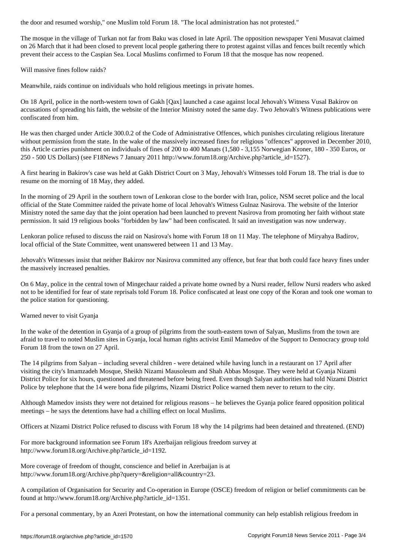The mosque in the village of Turkan not far from Baku was closed in late April. The opposition newspaper Yeni Musavat claimed on 26 March that it had been closed to prevent local people gathering there to protest against villas and fences built recently which prevent their access to the Caspian Sea. Local Muslims confirmed to Forum 18 that the mosque has now reopened.

Will massive fines follow raids?

Meanwhile, raids continue on individuals who hold religious meetings in private homes.

On 18 April, police in the north-western town of Gakh [Qax] launched a case against local Jehovah's Witness Vusal Bakirov on accusations of spreading his faith, the website of the Interior Ministry noted the same day. Two Jehovah's Witness publications were confiscated from him.

He was then charged under Article 300.0.2 of the Code of Administrative Offences, which punishes circulating religious literature without permission from the state. In the wake of the massively increased fines for religious "offences" approved in December 2010, this Article carries punishment on individuals of fines of 200 to 400 Manats (1,580 - 3,155 Norwegian Kroner, 180 - 350 Euros, or 250 - 500 US Dollars) (see F18News 7 January 2011 http://www.forum18.org/Archive.php?article\_id=1527).

A first hearing in Bakirov's case was held at Gakh District Court on 3 May, Jehovah's Witnesses told Forum 18. The trial is due to resume on the morning of 18 May, they added.

In the morning of 29 April in the southern town of Lenkoran close to the border with Iran, police, NSM secret police and the local official of the State Committee raided the private home of local Jehovah's Witness Gulnaz Nasirova. The website of the Interior Ministry noted the same day that the joint operation had been launched to prevent Nasirova from promoting her faith without state permission. It said 19 religious books "forbidden by law" had been confiscated. It said an investigation was now underway.

Lenkoran police refused to discuss the raid on Nasirova's home with Forum 18 on 11 May. The telephone of Miryahya Badirov, local official of the State Committee, went unanswered between 11 and 13 May.

Jehovah's Witnesses insist that neither Bakirov nor Nasirova committed any offence, but fear that both could face heavy fines under the massively increased penalties.

On 6 May, police in the central town of Mingechaur raided a private home owned by a Nursi reader, fellow Nursi readers who asked not to be identified for fear of state reprisals told Forum 18. Police confiscated at least one copy of the Koran and took one woman to the police station for questioning.

Warned never to visit Gyanja

In the wake of the detention in Gyanja of a group of pilgrims from the south-eastern town of Salyan, Muslims from the town are afraid to travel to noted Muslim sites in Gyanja, local human rights activist Emil Mamedov of the Support to Democracy group told Forum 18 from the town on 27 April.

The 14 pilgrims from Salyan – including several children - were detained while having lunch in a restaurant on 17 April after visiting the city's Imamzadeh Mosque, Sheikh Nizami Mausoleum and Shah Abbas Mosque. They were held at Gyanja Nizami District Police for six hours, questioned and threatened before being freed. Even though Salyan authorities had told Nizami District Police by telephone that the 14 were bona fide pilgrims, Nizami District Police warned them never to return to the city.

Although Mamedov insists they were not detained for religious reasons – he believes the Gyanja police feared opposition political meetings – he says the detentions have had a chilling effect on local Muslims.

Officers at Nizami District Police refused to discuss with Forum 18 why the 14 pilgrims had been detained and threatened. (END)

For more background information see Forum 18's Azerbaijan religious freedom survey at http://www.forum18.org/Archive.php?article\_id=1192.

More coverage of freedom of thought, conscience and belief in Azerbaijan is at http://www.forum18.org/Archive.php?query=&religion=all&country=23.

A compilation of Organisation for Security and Co-operation in Europe (OSCE) freedom of religion or belief commitments can be found at http://www.forum18.org/Archive.php?article\_id=1351.

For a personal commentary, by an Azeri Protestant, on how the international community can help establish religious freedom in